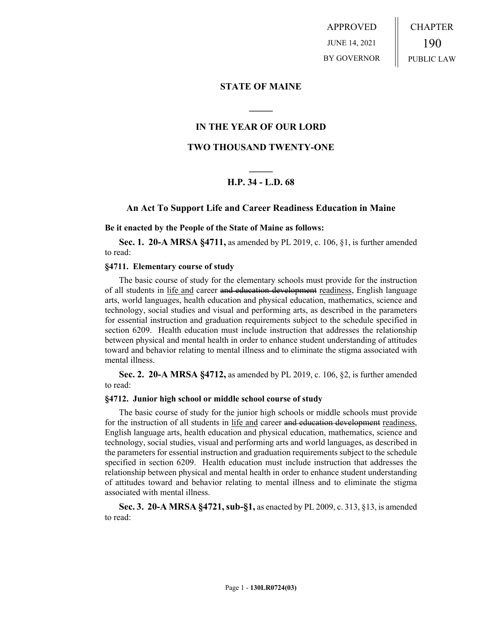APPROVED JUNE 14, 2021 BY GOVERNOR CHAPTER 190 PUBLIC LAW

## **STATE OF MAINE**

# **IN THE YEAR OF OUR LORD**

**\_\_\_\_\_**

# **TWO THOUSAND TWENTY-ONE**

# **\_\_\_\_\_ H.P. 34 - L.D. 68**

## **An Act To Support Life and Career Readiness Education in Maine**

### **Be it enacted by the People of the State of Maine as follows:**

**Sec. 1. 20-A MRSA §4711,** as amended by PL 2019, c. 106, §1, is further amended to read:

### **§4711. Elementary course of study**

The basic course of study for the elementary schools must provide for the instruction of all students in life and career and education development readiness, English language arts, world languages, health education and physical education, mathematics, science and technology, social studies and visual and performing arts, as described in the parameters for essential instruction and graduation requirements subject to the schedule specified in section 6209. Health education must include instruction that addresses the relationship between physical and mental health in order to enhance student understanding of attitudes toward and behavior relating to mental illness and to eliminate the stigma associated with mental illness.

**Sec. 2. 20-A MRSA §4712,** as amended by PL 2019, c. 106, §2, is further amended to read:

### **§4712. Junior high school or middle school course of study**

The basic course of study for the junior high schools or middle schools must provide for the instruction of all students in life and career and education development readiness, English language arts, health education and physical education, mathematics, science and technology, social studies, visual and performing arts and world languages, as described in the parameters for essential instruction and graduation requirements subject to the schedule specified in section 6209. Health education must include instruction that addresses the relationship between physical and mental health in order to enhance student understanding of attitudes toward and behavior relating to mental illness and to eliminate the stigma associated with mental illness.

**Sec. 3. 20-A MRSA §4721, sub-§1,** as enacted by PL 2009, c. 313, §13, is amended to read: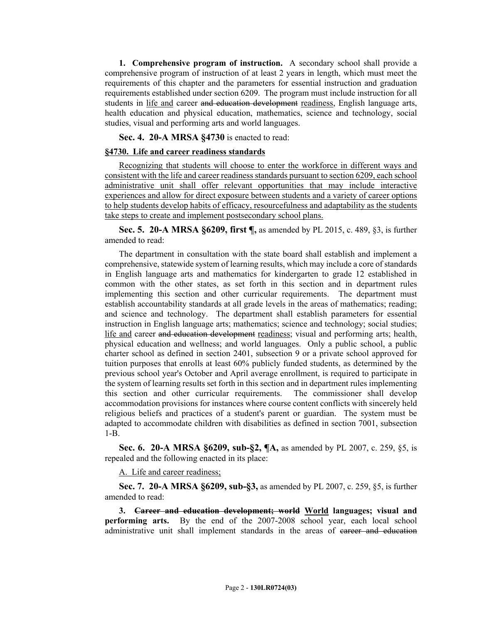**1. Comprehensive program of instruction.** A secondary school shall provide a comprehensive program of instruction of at least 2 years in length, which must meet the requirements of this chapter and the parameters for essential instruction and graduation requirements established under section 6209. The program must include instruction for all students in life and career and education development readiness, English language arts, health education and physical education, mathematics, science and technology, social studies, visual and performing arts and world languages.

**Sec. 4. 20-A MRSA §4730** is enacted to read:

## **§4730. Life and career readiness standards**

Recognizing that students will choose to enter the workforce in different ways and consistent with the life and career readiness standards pursuant to section 6209, each school administrative unit shall offer relevant opportunities that may include interactive experiences and allow for direct exposure between students and a variety of career options to help students develop habits of efficacy, resourcefulness and adaptability as the students take steps to create and implement postsecondary school plans.

**Sec. 5. 20-A MRSA §6209, first ¶,** as amended by PL 2015, c. 489, §3, is further amended to read:

The department in consultation with the state board shall establish and implement a comprehensive, statewide system of learning results, which may include a core of standards in English language arts and mathematics for kindergarten to grade 12 established in common with the other states, as set forth in this section and in department rules implementing this section and other curricular requirements. The department must establish accountability standards at all grade levels in the areas of mathematics; reading; and science and technology. The department shall establish parameters for essential instruction in English language arts; mathematics; science and technology; social studies; life and career and education development readiness; visual and performing arts; health, physical education and wellness; and world languages. Only a public school, a public charter school as defined in section 2401, subsection 9 or a private school approved for tuition purposes that enrolls at least 60% publicly funded students, as determined by the previous school year's October and April average enrollment, is required to participate in the system of learning results set forth in this section and in department rules implementing this section and other curricular requirements. The commissioner shall develop accommodation provisions for instances where course content conflicts with sincerely held religious beliefs and practices of a student's parent or guardian. The system must be adapted to accommodate children with disabilities as defined in section 7001, subsection 1-B.

**Sec. 6. 20-A MRSA §6209, sub-§2, ¶A,** as amended by PL 2007, c. 259, §5, is repealed and the following enacted in its place:

A. Life and career readiness;

**Sec. 7. 20-A MRSA §6209, sub-§3,** as amended by PL 2007, c. 259, §5, is further amended to read:

**3. Career and education development; world World languages; visual and performing arts.** By the end of the 2007-2008 school year, each local school administrative unit shall implement standards in the areas of career and education